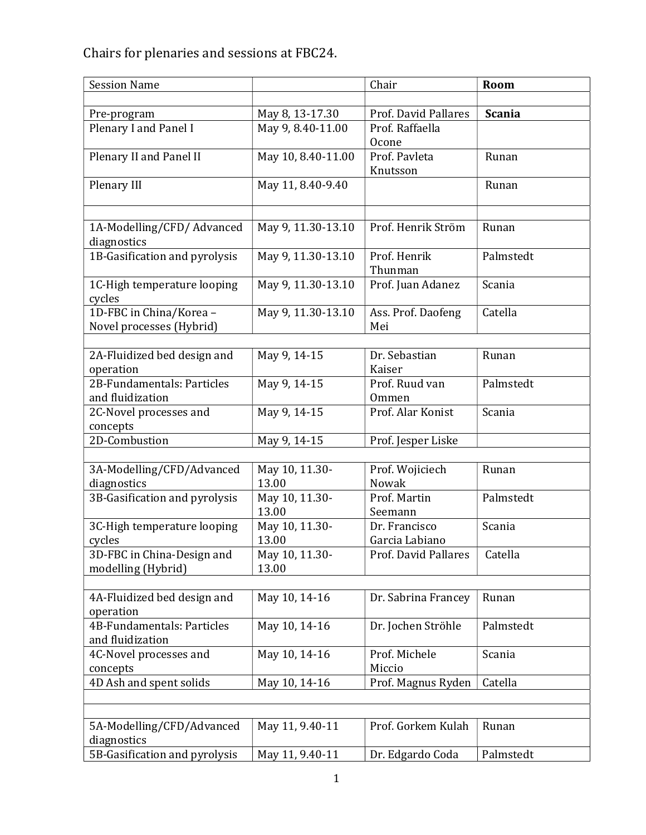Chairs for plenaries and sessions at FBC24.

| <b>Session Name</b>           |                         | Chair                    | Room          |
|-------------------------------|-------------------------|--------------------------|---------------|
|                               |                         |                          |               |
| Pre-program                   | May 8, 13-17.30         | Prof. David Pallares     | <b>Scania</b> |
| Plenary I and Panel I         | May 9, 8.40-11.00       | Prof. Raffaella<br>Ocone |               |
| Plenary II and Panel II       | May 10, 8.40-11.00      | Prof. Pavleta            | Runan         |
|                               |                         | Knutsson                 |               |
| Plenary III                   | May 11, 8.40-9.40       |                          | Runan         |
|                               |                         |                          |               |
| 1A-Modelling/CFD/ Advanced    | May 9, 11.30-13.10      | Prof. Henrik Ström       | Runan         |
| diagnostics                   |                         |                          |               |
| 1B-Gasification and pyrolysis | May 9, 11.30-13.10      | Prof. Henrik             | Palmstedt     |
|                               |                         | Thunman                  |               |
| 1C-High temperature looping   | May 9, 11.30-13.10      | Prof. Juan Adanez        | Scania        |
| cycles                        |                         |                          |               |
| 1D-FBC in China/Korea -       | May 9, 11.30-13.10      | Ass. Prof. Daofeng       | Catella       |
| Novel processes (Hybrid)      |                         | Mei                      |               |
| 2A-Fluidized bed design and   | May 9, 14-15            | Dr. Sebastian            | Runan         |
| operation                     |                         | Kaiser                   |               |
| 2B-Fundamentals: Particles    | May 9, 14-15            | Prof. Ruud van           | Palmstedt     |
| and fluidization              |                         | Ommen                    |               |
| 2C-Novel processes and        | May 9, 14-15            | Prof. Alar Konist        | Scania        |
| concepts                      |                         |                          |               |
| 2D-Combustion                 | May 9, 14-15            | Prof. Jesper Liske       |               |
|                               |                         |                          |               |
| 3A-Modelling/CFD/Advanced     | May 10, 11.30-          | Prof. Wojiciech          | Runan         |
| diagnostics                   | 13.00                   | Nowak                    |               |
| 3B-Gasification and pyrolysis | May 10, 11.30-<br>13.00 | Prof. Martin<br>Seemann  | Palmstedt     |
| 3C-High temperature looping   | May 10, 11.30-          | Dr. Francisco            | Scania        |
| cycles                        | 13.00                   | Garcia Labiano           |               |
| 3D-FBC in China-Design and    | May 10, 11.30-          | Prof. David Pallares     | Catella       |
| modelling (Hybrid)            | 13.00                   |                          |               |
|                               |                         |                          |               |
| 4A-Fluidized bed design and   | May 10, 14-16           | Dr. Sabrina Francey      | Runan         |
| operation                     |                         |                          |               |
| 4B-Fundamentals: Particles    | May 10, 14-16           | Dr. Jochen Ströhle       | Palmstedt     |
| and fluidization              |                         |                          |               |
| 4C-Novel processes and        | May 10, 14-16           | Prof. Michele            | Scania        |
| concepts                      |                         | Miccio                   |               |
| 4D Ash and spent solids       | May 10, 14-16           | Prof. Magnus Ryden       | Catella       |
|                               |                         |                          |               |
| 5A-Modelling/CFD/Advanced     | May 11, 9.40-11         | Prof. Gorkem Kulah       | Runan         |
| diagnostics                   |                         |                          |               |
| 5B-Gasification and pyrolysis | May 11, 9.40-11         | Dr. Edgardo Coda         | Palmstedt     |
|                               |                         |                          |               |